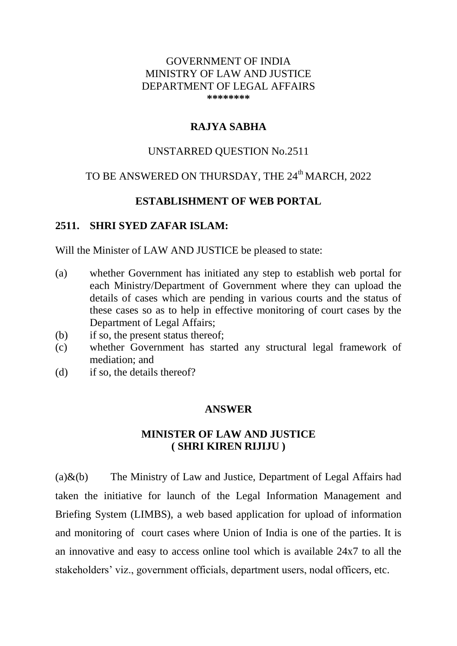### GOVERNMENT OF INDIA MINISTRY OF LAW AND JUSTICE DEPARTMENT OF LEGAL AFFAIRS **\*\*\*\*\*\*\*\***

## **RAJYA SABHA**

### UNSTARRED QUESTION No.2511

# TO BE ANSWERED ON THURSDAY, THE 24<sup>th</sup> MARCH, 2022

### **ESTABLISHMENT OF WEB PORTAL**

#### **2511. SHRI SYED ZAFAR ISLAM:**

Will the Minister of LAW AND JUSTICE be pleased to state:

- (a) whether Government has initiated any step to establish web portal for each Ministry/Department of Government where they can upload the details of cases which are pending in various courts and the status of these cases so as to help in effective monitoring of court cases by the Department of Legal Affairs;
- (b) if so, the present status thereof;
- (c) whether Government has started any structural legal framework of mediation; and
- (d) if so, the details thereof?

### **ANSWER**

## **MINISTER OF LAW AND JUSTICE ( SHRI KIREN RIJIJU )**

(a) $\&$ (b) The Ministry of Law and Justice, Department of Legal Affairs had taken the initiative for launch of the Legal Information Management and Briefing System (LIMBS), a web based application for upload of information and monitoring of court cases where Union of India is one of the parties. It is an innovative and easy to access online tool which is available 24x7 to all the stakeholders' viz., government officials, department users, nodal officers, etc.